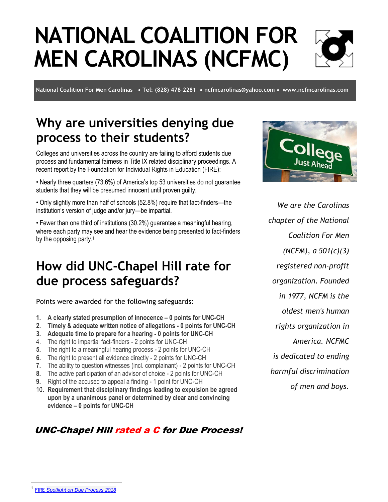# **NATIONAL COALITION FOR MEN CAROLINAS (NCFMC)**

**National Coalition For Men Carolinas • Tel: (828) 478-2281 • [ncfmcarolinas@yahoo.com](mailto:ncfmcarolinas@yahoo.com) • [www.ncfmcarolinas.com](http://www.ncfmcarolinas.com/)**

## **Why are universities denying due process to their students?**

Colleges and universities across the country are failing to afford students due process and fundamental fairness in Title IX related disciplinary proceedings. A recent report by the Foundation for Individual Rights in Education (FIRE):

• Nearly three quarters (73.6%) of America's top 53 universities do not guarantee students that they will be presumed innocent until proven guilty.

• Only slightly more than half of schools (52.8%) require that fact-finders—the institution's version of judge and/or jury—be impartial.

• Fewer than one third of institutions (30.2%) guarantee a meaningful hearing, where each party may see and hear the evidence being presented to fact-finders by the opposing party.<sup>1</sup>

### **How did UNC-Chapel Hill rate for due process safeguards?**

Points were awarded for the following safeguards:

- **1. A clearly stated presumption of innocence – 0 points for UNC-CH**
- **2. Timely & adequate written notice of allegations - 0 points for UNC-CH**
- **3. Adequate time to prepare for a hearing - 0 points for UNC-CH**
- 4. The right to impartial fact-finders 2 points for UNC-CH
- **5.** The right to a meaningful hearing process 2 points for UNC-CH
- **6.** The right to present all evidence directly 2 points for UNC-CH
- **7.** The ability to question witnesses (incl. complainant) 2 points for UNC-CH
- **8.** The active participation of an advisor of choice 2 points for UNC-CH
- **9.** Right of the accused to appeal a finding 1 point for UNC-CH
- 10. **Requirement that disciplinary findings leading to expulsion be agreed upon by a unanimous panel or determined by clear and convincing evidence – 0 points for UNC-CH**

#### UNC-Chapel Hill rated a C for Due Process!



*We are the Carolinas chapter of the National Coalition For Men (NCFM), a 501(c)(3) registered non-profit organization. Founded in 1977, NCFM is the oldest men's human rights organization in America. NCFMC is dedicated to ending harmful discrimination of men and boys.*

 $\overline{a}$ 

<sup>1</sup> FIRE *[Spotlight on Due Process 2018](https://www.thefire.org/spotlight/due-process-reports/due-process-report-2018/)*